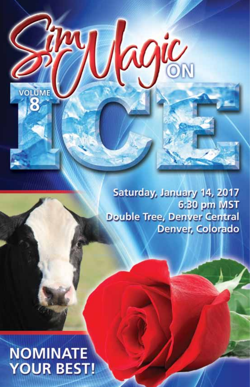Saturday, January 14, 2017 6:30 pm MST **Double Tree, Denver Central** Denver, Colorado

ROIC

# **NOMINATE YOUR BEST!**

**VOLUME**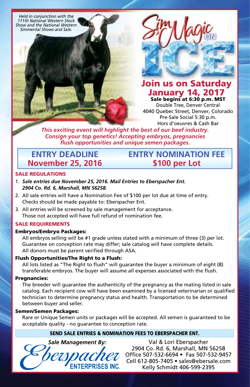*Held in conjunction with the 111th National Western Stock Show and the National Western Simmental Shows and Sale.*



#### Join us on Saturday January 14, 2017 Sale begins at 6:30 p.m. MST

Double Tree, Denver Central 4040 Quebec Street, Denver, Colorado Pre-Sale Social 5:30 p.m. Hors d'oeuvres & Cash Bar

**Entry Nomination Fee \$100 per Lot**

*This exciting event will highlight the best of our beef industry. Consign your top genetics! Accepting embryos, pregnancies flush opportunities and unique semen packages.*

### **Entry Deadline November 25, 2016**

#### Sale Regulations

- 1. *Sale entries due November 25, 2016. Mail Entries to Eberspacher Ent. 2904 Co. Rd. 6, Marshall, MN 56258.*
- 2. All sale entries will have a Nomination Fee of \$100 per lot due at time of entry. Checks should be made payable to: Eberspacher Ent.
- 3. All entries will be screened by sale management for acceptance. Those not accepted will have full refund of nomination fee.

#### SALE REQUIREMENTS

#### Embryos/Embryo Packages:

All embryos selling will be #1 grade unless stated with a minimum of three (3) per lot. Guarantee on conception rate may differ; sale catalog will have complete details. All donors must be parent verified through ASA.

#### Flush Opportunities/The Right to a Flush:

All lots listed as "The Right to flush" will guarantee the buyer a minimum of eight (8) transferable embryos. The buyer will assume all expenses associated with the flush.

#### Pregnancies:

The breeder will guarantee the authenticity of the pregnancy as the mating listed in sale catalog. Each recipient cow will have been examined by a licensed veterinarian or qualified technician to determine pregnancy status and health. Transportation to be determined between buyer and seller.

#### Semen/Semen Packages:

Rare or Unique Semen units or packages will be accepted. All semen is guaranteed to be acceptable quality - no guarantee to conception rate.

#### Send Sale Entries & Nomination Fees to Eberspacher Ent.

**NTERPRISES INC.** 

*Sale Management By:* Val & Lori Eberspacher 2904 Co. Rd. 6, Marshall, MN 56258 Office 507-532-6694 • Fax 507-532-9457 Cell 612-805-7405 • sales@ebersale.com Kelly Schmidt 406-599-2395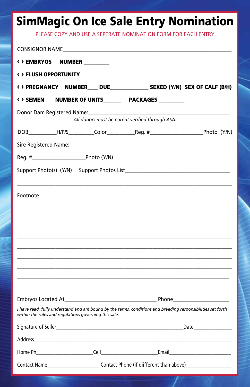## **SimMagic On Ice Sale Entry Nomination**

PLEASE COPY AND USE A SEPERATE NOMINATION FORM FOR EACH ENTRY

|                              |  | CONSIGNOR NAME <b>Example 2006</b>                                                                                                                                                                                             |                                                                                                             |  |  |
|------------------------------|--|--------------------------------------------------------------------------------------------------------------------------------------------------------------------------------------------------------------------------------|-------------------------------------------------------------------------------------------------------------|--|--|
| <b>&lt;&gt; EMBRYOS</b>      |  | <b>NUMBER</b>                                                                                                                                                                                                                  |                                                                                                             |  |  |
| <b>( ) FLUSH OPPORTUNITY</b> |  |                                                                                                                                                                                                                                |                                                                                                             |  |  |
|                              |  |                                                                                                                                                                                                                                | () PREGNANCY NUMBER___ DUE________________ SEXED (Y/N) SEX OF CALF (B/H)                                    |  |  |
| < > SEMEN                    |  | NUMBER OF UNITS__________ PACKAGES _________                                                                                                                                                                                   |                                                                                                             |  |  |
|                              |  |                                                                                                                                                                                                                                | All donors must be parent verified through ASA.                                                             |  |  |
|                              |  |                                                                                                                                                                                                                                |                                                                                                             |  |  |
|                              |  |                                                                                                                                                                                                                                |                                                                                                             |  |  |
|                              |  |                                                                                                                                                                                                                                |                                                                                                             |  |  |
|                              |  |                                                                                                                                                                                                                                |                                                                                                             |  |  |
|                              |  |                                                                                                                                                                                                                                |                                                                                                             |  |  |
|                              |  |                                                                                                                                                                                                                                |                                                                                                             |  |  |
|                              |  |                                                                                                                                                                                                                                |                                                                                                             |  |  |
|                              |  |                                                                                                                                                                                                                                |                                                                                                             |  |  |
|                              |  |                                                                                                                                                                                                                                |                                                                                                             |  |  |
|                              |  |                                                                                                                                                                                                                                | I have read, fully understand and am bound by the terms, conditions and breeding responsibilities set forth |  |  |
|                              |  | within the rules and regulations governing this sale.                                                                                                                                                                          |                                                                                                             |  |  |
|                              |  |                                                                                                                                                                                                                                |                                                                                                             |  |  |
|                              |  | Address and the contract of the contract of the contract of the contract of the contract of the contract of the contract of the contract of the contract of the contract of the contract of the contract of the contract of th |                                                                                                             |  |  |
|                              |  |                                                                                                                                                                                                                                |                                                                                                             |  |  |
|                              |  | Contact Name____________________________Contact Phone (if diifferent than above)____________________                                                                                                                           |                                                                                                             |  |  |